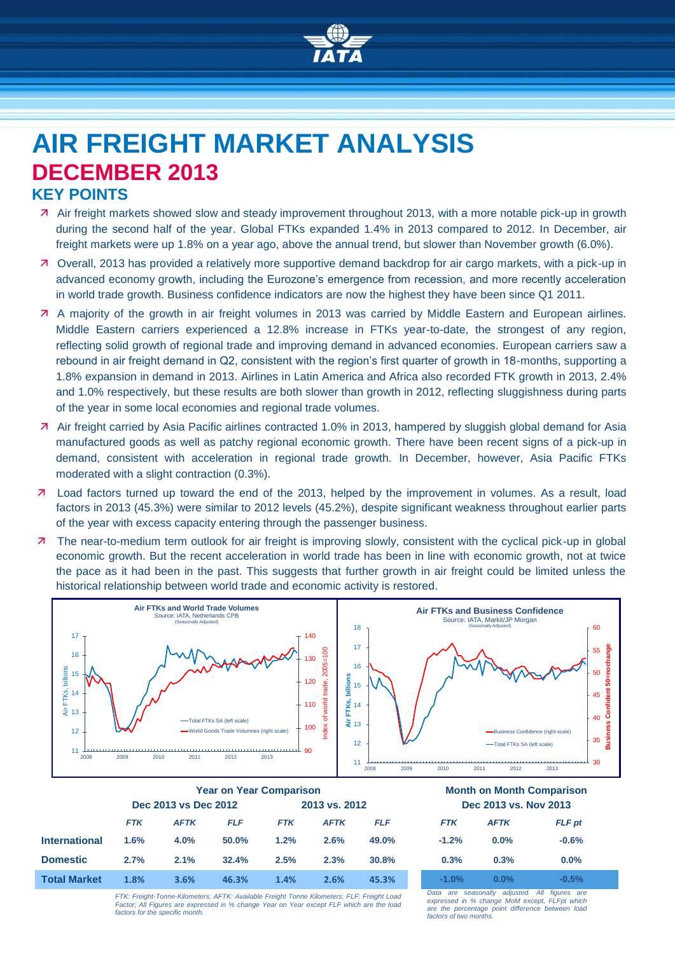

# **AIR FREIGHT MARKET ANALYSIS DECEMBER 2013 KEY POINTS**

- Air freight markets showed slow and steady improvement throughout 2013, with a more notable pick-up in growth during the second half of the year. Global FTKs expanded 1.4% in 2013 compared to 2012. In December, air freight markets were up 1.8% on a year ago, above the annual trend, but slower than November growth (6.0%).
- Overall, 2013 has provided a relatively more supportive demand backdrop for air cargo markets, with a pick-up in advanced economy growth, including the Eurozone's emergence from recession, and more recently acceleration in world trade growth. Business confidence indicators are now the highest they have been since Q1 2011.
- A majority of the growth in air freight volumes in 2013 was carried by Middle Eastern and European airlines. Middle Eastern carriers experienced a 12.8% increase in FTKs year-to-date, the strongest of any region, reflecting solid growth of regional trade and improving demand in advanced economies. European carriers saw a rebound in air freight demand in Q2, consistent with the region's first quarter of growth in 18-months, supporting a 1.8% expansion in demand in 2013. Airlines in Latin America and Africa also recorded FTK growth in 2013, 2.4% and 1.0% respectively, but these results are both slower than growth in 2012, reflecting sluggishness during parts of the year in some local economies and regional trade volumes.
- Air freight carried by Asia Pacific airlines contracted 1.0% in 2013, hampered by sluggish global demand for Asia manufactured goods as well as patchy regional economic growth. There have been recent signs of a pick-up in demand, consistent with acceleration in regional trade growth. In December, however, Asia Pacific FTKs moderated with a slight contraction (0.3%).
- Load factors turned up toward the end of the 2013, helped by the improvement in volumes. As a result, load factors in 2013 (45.3%) were similar to 2012 levels (45.2%), despite significant weakness throughout earlier parts of the year with excess capacity entering through the passenger business.
- 7 The near-to-medium term outlook for air freight is improving slowly, consistent with the cyclical pick-up in global economic growth. But the recent acceleration in world trade has been in line with economic growth, not at twice the pace as it had been in the past. This suggests that further growth in air freight could be limited unless the historical relationship between world trade and economic activity is restored.



|                      | <b>Year on Year Comparison</b> |             |            |               |             |            | <b>Month on Month Compariso</b> |             |               |
|----------------------|--------------------------------|-------------|------------|---------------|-------------|------------|---------------------------------|-------------|---------------|
|                      | Dec 2013 vs Dec 2012           |             |            | 2013 vs. 2012 |             |            | Dec 2013 vs. Nov 2013           |             |               |
|                      | <b>FTK</b>                     | <b>AFTK</b> | <b>FLF</b> | <b>FTK</b>    | <b>AFTK</b> | <b>FLF</b> | <b>FTK</b>                      | <b>AFTK</b> | <b>FLF</b> pt |
| <b>International</b> | 1.6%                           | 4.0%        | 50.0%      | 1.2%          | 2.6%        | 49.0%      | $-1.2%$                         | $0.0\%$     | $-0.6%$       |
| <b>Domestic</b>      | 2.7%                           | 2.1%        | 32.4%      | 2.5%          | 2.3%        | 30.8%      | 0.3%                            | 0.3%        | 0.0%          |
| <b>Total Market</b>  | 1.8%                           | 3.6%        | 46.3%      | 1.4%          | 2.6%        | 45.3%      | $-1.0%$                         | $0.0\%$     | $-0.5%$       |
|                      |                                |             |            |               |             |            |                                 |             |               |

**Year on Year Comparison Month on Month Comparison Dec 2013 vs Dec 2012 2013 vs. 2012 Dec 2013 vs. Nov 2013**

| <b>FTK</b> | <b>AFTK</b> | <b>FLF</b> pt |  |  |  |  |
|------------|-------------|---------------|--|--|--|--|
| $-1.2%$    | $0.0\%$     | $-0.6%$       |  |  |  |  |
| 0.3%       | 0.3%        | $0.0\%$       |  |  |  |  |
| $-1.0%$    | $0.0\%$     | $-0.5%$       |  |  |  |  |

*FTK: Freight-Tonne-Kilometers; AFTK: Available Freight Tonne Kilometers; FLF: Freight Load Factor; All Figures are expressed in % change Year on Year except FLF which are the load factors for the specific month.*

*Data are seasonally adjusted. All figures are expressed in % change MoM except, FLFpt which are the percentage point difference between load factors of two months.*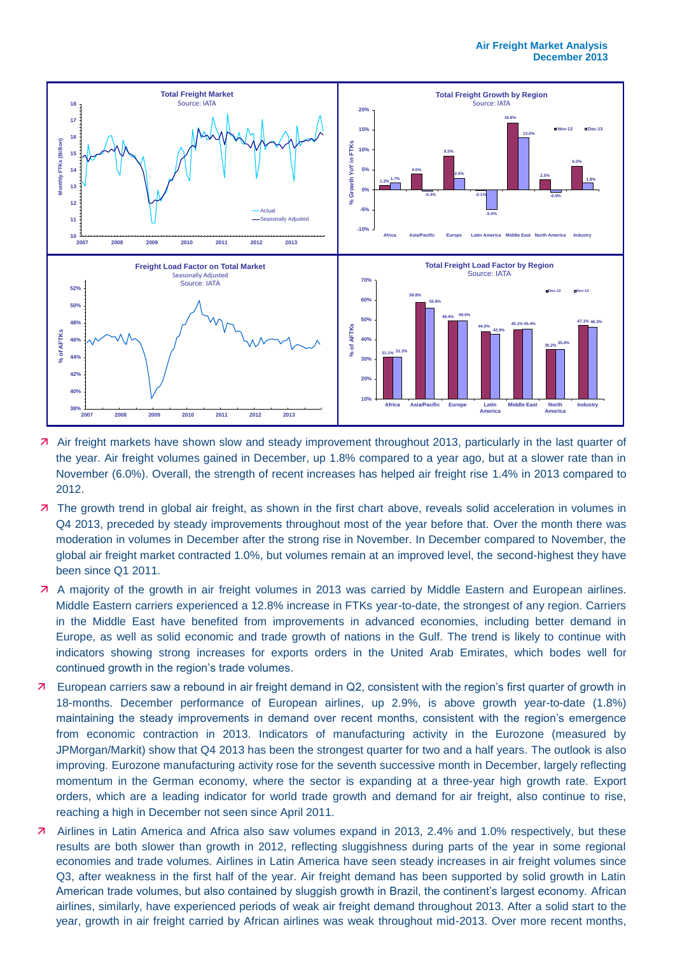

- Air freight markets have shown slow and steady improvement throughout 2013, particularly in the last quarter of the year. Air freight volumes gained in December, up 1.8% compared to a year ago, but at a slower rate than in November (6.0%). Overall, the strength of recent increases has helped air freight rise 1.4% in 2013 compared to 2012.
- 7 The growth trend in global air freight, as shown in the first chart above, reveals solid acceleration in volumes in Q4 2013, preceded by steady improvements throughout most of the year before that. Over the month there was moderation in volumes in December after the strong rise in November. In December compared to November, the global air freight market contracted 1.0%, but volumes remain at an improved level, the second-highest they have been since Q1 2011.
- A majority of the growth in air freight volumes in 2013 was carried by Middle Eastern and European airlines. Middle Eastern carriers experienced a 12.8% increase in FTKs year-to-date, the strongest of any region. Carriers in the Middle East have benefited from improvements in advanced economies, including better demand in Europe, as well as solid economic and trade growth of nations in the Gulf. The trend is likely to continue with indicators showing strong increases for exports orders in the United Arab Emirates, which bodes well for continued growth in the region's trade volumes.
- European carriers saw a rebound in air freight demand in Q2, consistent with the region's first quarter of growth in 18-months. December performance of European airlines, up 2.9%, is above growth year-to-date (1.8%) maintaining the steady improvements in demand over recent months, consistent with the region's emergence from economic contraction in 2013. Indicators of manufacturing activity in the Eurozone (measured by JPMorgan/Markit) show that Q4 2013 has been the strongest quarter for two and a half years. The outlook is also improving. Eurozone manufacturing activity rose for the seventh successive month in December, largely reflecting momentum in the German economy, where the sector is expanding at a three-year high growth rate. Export orders, which are a leading indicator for world trade growth and demand for air freight, also continue to rise, reaching a high in December not seen since April 2011.
- Airlines in Latin America and Africa also saw volumes expand in 2013, 2.4% and 1.0% respectively, but these results are both slower than growth in 2012, reflecting sluggishness during parts of the year in some regional economies and trade volumes. Airlines in Latin America have seen steady increases in air freight volumes since Q3, after weakness in the first half of the year. Air freight demand has been supported by solid growth in Latin American trade volumes, but also contained by sluggish growth in Brazil, the continent's largest economy. African airlines, similarly, have experienced periods of weak air freight demand throughout 2013. After a solid start to the year, growth in air freight carried by African airlines was weak throughout mid-2013. Over more recent months,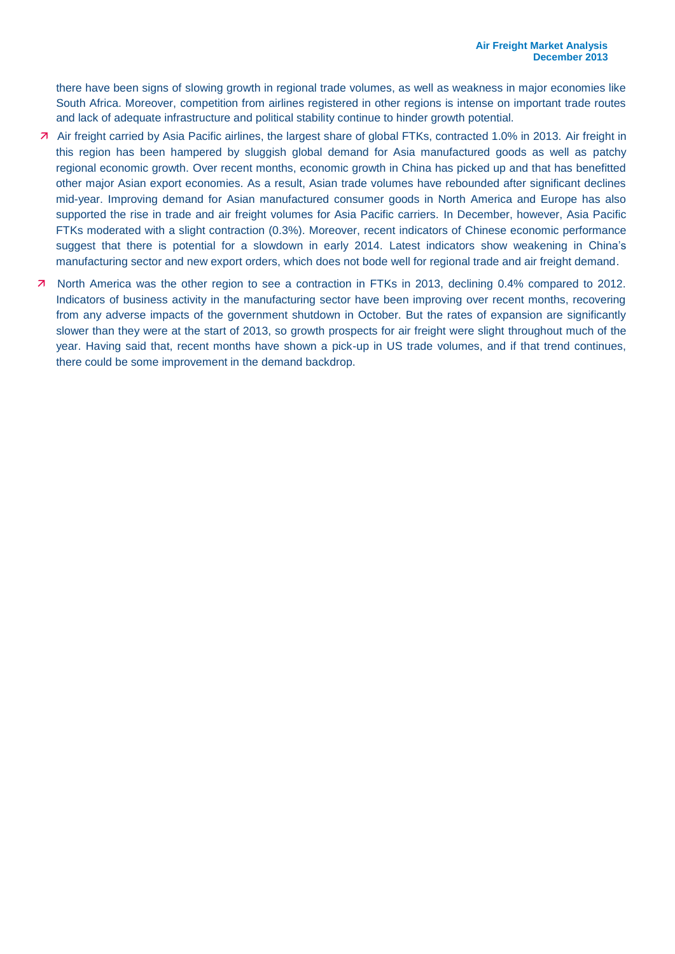there have been signs of slowing growth in regional trade volumes, as well as weakness in major economies like South Africa. Moreover, competition from airlines registered in other regions is intense on important trade routes and lack of adequate infrastructure and political stability continue to hinder growth potential.

- Air freight carried by Asia Pacific airlines, the largest share of global FTKs, contracted 1.0% in 2013. Air freight in this region has been hampered by sluggish global demand for Asia manufactured goods as well as patchy regional economic growth. Over recent months, economic growth in China has picked up and that has benefitted other major Asian export economies. As a result, Asian trade volumes have rebounded after significant declines mid-year. Improving demand for Asian manufactured consumer goods in North America and Europe has also supported the rise in trade and air freight volumes for Asia Pacific carriers. In December, however, Asia Pacific FTKs moderated with a slight contraction (0.3%). Moreover, recent indicators of Chinese economic performance suggest that there is potential for a slowdown in early 2014. Latest indicators show weakening in China's manufacturing sector and new export orders, which does not bode well for regional trade and air freight demand.
- North America was the other region to see a contraction in FTKs in 2013, declining 0.4% compared to 2012. Indicators of business activity in the manufacturing sector have been improving over recent months, recovering from any adverse impacts of the government shutdown in October. But the rates of expansion are significantly slower than they were at the start of 2013, so growth prospects for air freight were slight throughout much of the year. Having said that, recent months have shown a pick-up in US trade volumes, and if that trend continues, there could be some improvement in the demand backdrop.